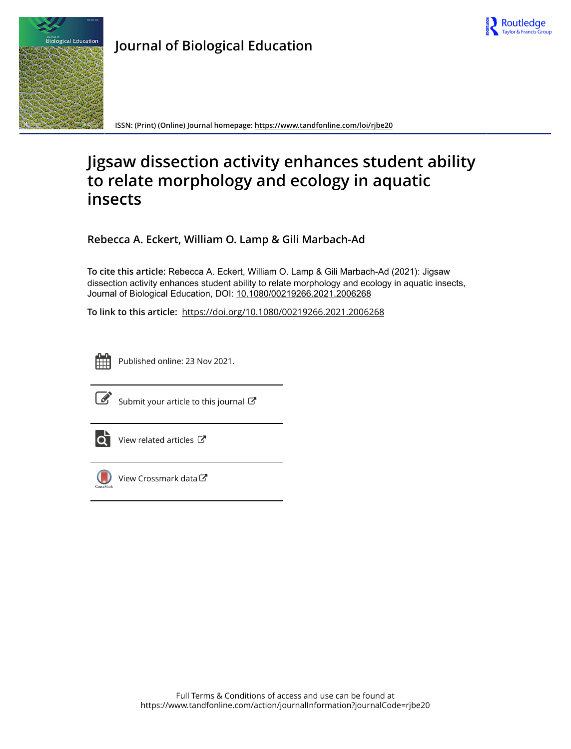



**Journal of Biological Education**

**ISSN: (Print) (Online) Journal homepage:<https://www.tandfonline.com/loi/rjbe20>**

# **Jigsaw dissection activity enhances student ability to relate morphology and ecology in aquatic insects**

**Rebecca A. Eckert, William O. Lamp & Gili Marbach-Ad**

**To cite this article:** Rebecca A. Eckert, William O. Lamp & Gili Marbach-Ad (2021): Jigsaw dissection activity enhances student ability to relate morphology and ecology in aquatic insects, Journal of Biological Education, DOI: [10.1080/00219266.2021.2006268](https://www.tandfonline.com/action/showCitFormats?doi=10.1080/00219266.2021.2006268)

**To link to this article:** <https://doi.org/10.1080/00219266.2021.2006268>



Published online: 23 Nov 2021.



 $\overrightarrow{S}$  [Submit your article to this journal](https://www.tandfonline.com/action/authorSubmission?journalCode=rjbe20&show=instructions)  $\overrightarrow{S}$ 



 $\overrightarrow{Q}$  [View related articles](https://www.tandfonline.com/doi/mlt/10.1080/00219266.2021.2006268)  $\overrightarrow{C}$ 



 $\bigcirc$  [View Crossmark data](http://crossmark.crossref.org/dialog/?doi=10.1080/00219266.2021.2006268&domain=pdf&date_stamp=2021-11-23) $\mathbb{Z}$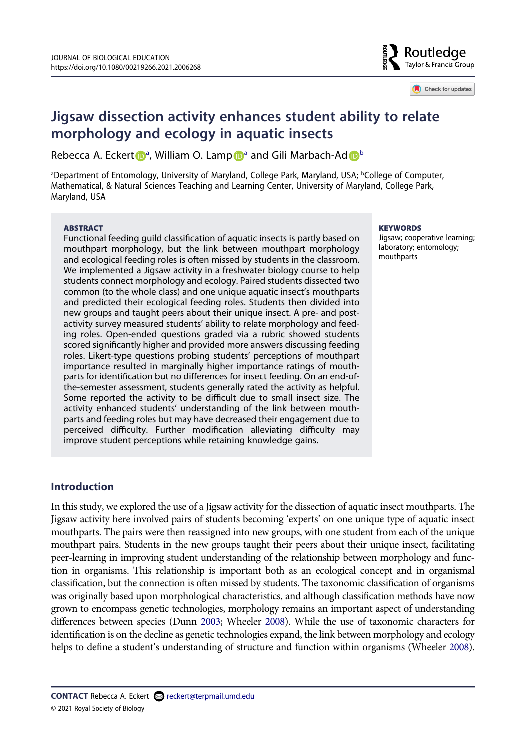

Check for updates

# **Jigsaw dissection activity enhances student ability to relate morphology and ecology in aquatic insects**

Rebecca A. Ecker[t](http://orcid.org/0000-0002-2390-7591) **D**<sup>[a](#page-1-0)</su[p](http://orcid.org/0000-0002-8565-1560)>, William O. Lamp D<sup>a</sup> an[d](http://orcid.org/0000-0002-6278-2015) Gili Mar[b](#page-1-0)ach-Ad D<sup>b</sup>

<span id="page-1-0"></span>aDepartment of Entomology, University of Maryland, College Park, Maryland, USA; <sup>b</sup>College of Computer, Mathematical, & Natural Sciences Teaching and Learning Center, University of Maryland, College Park, Maryland, USA

#### **ABSTRACT**

Functional feeding guild classification of aquatic insects is partly based on mouthpart morphology, but the link between mouthpart morphology and ecological feeding roles is often missed by students in the classroom. We implemented a Jigsaw activity in a freshwater biology course to help students connect morphology and ecology. Paired students dissected two common (to the whole class) and one unique aquatic insect's mouthparts and predicted their ecological feeding roles. Students then divided into new groups and taught peers about their unique insect. A pre- and postactivity survey measured students' ability to relate morphology and feeding roles. Open-ended questions graded via a rubric showed students scored significantly higher and provided more answers discussing feeding roles. Likert-type questions probing students' perceptions of mouthpart importance resulted in marginally higher importance ratings of mouthparts for identification but no differences for insect feeding. On an end-ofthe-semester assessment, students generally rated the activity as helpful. Some reported the activity to be difficult due to small insect size. The activity enhanced students' understanding of the link between mouthparts and feeding roles but may have decreased their engagement due to perceived difficulty. Further modification alleviating difficulty may improve student perceptions while retaining knowledge gains.

#### **KEYWORDS**

Jigsaw; cooperative learning; laboratory; entomology; mouthparts

# **Introduction**

<span id="page-1-2"></span><span id="page-1-1"></span>In this study, we explored the use of a Jigsaw activity for the dissection of aquatic insect mouthparts. The Jigsaw activity here involved pairs of students becoming 'experts' on one unique type of aquatic insect mouthparts. The pairs were then reassigned into new groups, with one student from each of the unique mouthpart pairs. Students in the new groups taught their peers about their unique insect, facilitating peer-learning in improving student understanding of the relationship between morphology and function in organisms. This relationship is important both as an ecological concept and in organismal classification, but the connection is often missed by students. The taxonomic classification of organisms was originally based upon morphological characteristics, and although classification methods have now grown to encompass genetic technologies, morphology remains an important aspect of understanding differences between species (Dunn [2003;](#page-12-0) Wheeler [2008](#page-13-0)). While the use of taxonomic characters for identification is on the decline as genetic technologies expand, the link between morphology and ecology helps to define a student's understanding of structure and function within organisms (Wheeler [2008\)](#page-13-0).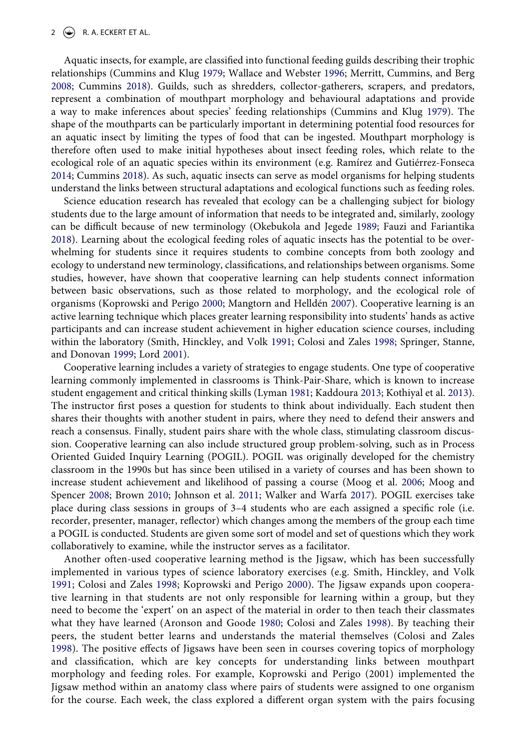<span id="page-2-10"></span><span id="page-2-4"></span>Aquatic insects, for example, are classified into functional feeding guilds describing their trophic relationships (Cummins and Klug [1979;](#page-12-1) Wallace and Webster [1996](#page-13-1); Merritt, Cummins, and Berg [2008](#page-12-2); Cummins [2018\)](#page-12-3). Guilds, such as shredders, collector-gatherers, scrapers, and predators, represent a combination of mouthpart morphology and behavioural adaptations and provide a way to make inferences about species' feeding relationships (Cummins and Klug [1979\)](#page-12-1). The shape of the mouthparts can be particularly important in determining potential food resources for an aquatic insect by limiting the types of food that can be ingested. Mouthpart morphology is therefore often used to make initial hypotheses about insect feeding roles, which relate to the ecological role of an aquatic species within its environment (e.g. Ramírez and Gutiérrez-Fonseca [2014](#page-13-2); Cummins [2018](#page-12-3)). As such, aquatic insects can serve as model organisms for helping students understand the links between structural adaptations and ecological functions such as feeding roles.

<span id="page-2-12"></span><span id="page-2-5"></span><span id="page-2-3"></span>Science education research has revealed that ecology can be a challenging subject for biology students due to the large amount of information that needs to be integrated and, similarly, zoology can be difficult because of new terminology (Okebukola and Jegede [1989;](#page-12-4) Fauzi and Fariantika [2018](#page-12-5)). Learning about the ecological feeding roles of aquatic insects has the potential to be overwhelming for students since it requires students to combine concepts from both zoology and ecology to understand new terminology, classifications, and relationships between organisms. Some studies, however, have shown that cooperative learning can help students connect information between basic observations, such as those related to morphology, and the ecological role of organisms (Koprowski and Perigo [2000;](#page-12-6) Mangtorn and Helldén [2007\)](#page-12-7). Cooperative learning is an active learning technique which places greater learning responsibility into students' hands as active participants and can increase student achievement in higher education science courses, including within the laboratory (Smith, Hinckley, and Volk [1991;](#page-13-3) Colosi and Zales [1998](#page-12-8); Springer, Stanne, and Donovan [1999](#page-13-4); Lord [2001\)](#page-12-9).

<span id="page-2-9"></span><span id="page-2-8"></span><span id="page-2-6"></span>Cooperative learning includes a variety of strategies to engage students. One type of cooperative learning commonly implemented in classrooms is Think-Pair-Share, which is known to increase student engagement and critical thinking skills (Lyman [1981](#page-12-10); Kaddoura [2013;](#page-12-11) Kothiyal et al. [2013](#page-12-12)). The instructor first poses a question for students to think about individually. Each student then shares their thoughts with another student in pairs, where they need to defend their answers and reach a consensus. Finally, student pairs share with the whole class, stimulating classroom discussion. Cooperative learning can also include structured group problem-solving, such as in Process Oriented Guided Inquiry Learning (POGIL). POGIL was originally developed for the chemistry classroom in the 1990s but has since been utilised in a variety of courses and has been shown to increase student achievement and likelihood of passing a course (Moog et al. [2006](#page-12-13); Moog and Spencer [2008;](#page-12-14) Brown [2010;](#page-12-15) Johnson et al. [2011](#page-12-16); Walker and Warfa [2017](#page-13-5)). POGIL exercises take place during class sessions in groups of 3–4 students who are each assigned a specific role (i.e. recorder, presenter, manager, reflector) which changes among the members of the group each time a POGIL is conducted. Students are given some sort of model and set of questions which they work collaboratively to examine, while the instructor serves as a facilitator.

<span id="page-2-13"></span><span id="page-2-11"></span><span id="page-2-7"></span><span id="page-2-2"></span><span id="page-2-1"></span><span id="page-2-0"></span>Another often-used cooperative learning method is the Jigsaw, which has been successfully implemented in various types of science laboratory exercises (e.g. Smith, Hinckley, and Volk [1991;](#page-13-3) Colosi and Zales [1998](#page-12-8); Koprowski and Perigo [2000\)](#page-12-6). The Jigsaw expands upon cooperative learning in that students are not only responsible for learning within a group, but they need to become the 'expert' on an aspect of the material in order to then teach their classmates what they have learned (Aronson and Goode [1980](#page-12-17); Colosi and Zales [1998](#page-12-8)). By teaching their peers, the student better learns and understands the material themselves (Colosi and Zales [1998\)](#page-12-8). The positive effects of Jigsaws have been seen in courses covering topics of morphology and classification, which are key concepts for understanding links between mouthpart morphology and feeding roles. For example, Koprowski and Perigo (2001) implemented the Jigsaw method within an anatomy class where pairs of students were assigned to one organism for the course. Each week, the class explored a different organ system with the pairs focusing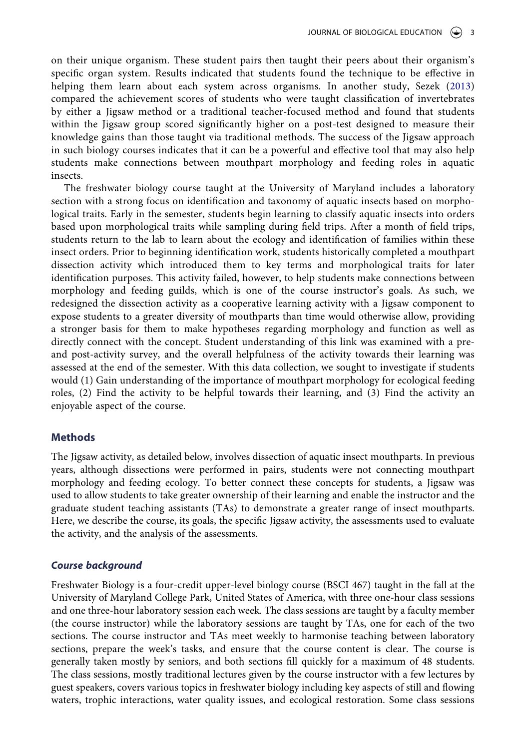<span id="page-3-0"></span>on their unique organism. These student pairs then taught their peers about their organism's specific organ system. Results indicated that students found the technique to be effective in helping them learn about each system across organisms. In another study, Sezek [\(2013\)](#page-13-6) compared the achievement scores of students who were taught classification of invertebrates by either a Jigsaw method or a traditional teacher-focused method and found that students within the Jigsaw group scored significantly higher on a post-test designed to measure their knowledge gains than those taught via traditional methods. The success of the Jigsaw approach in such biology courses indicates that it can be a powerful and effective tool that may also help students make connections between mouthpart morphology and feeding roles in aquatic insects.

The freshwater biology course taught at the University of Maryland includes a laboratory section with a strong focus on identification and taxonomy of aquatic insects based on morphological traits. Early in the semester, students begin learning to classify aquatic insects into orders based upon morphological traits while sampling during field trips. After a month of field trips, students return to the lab to learn about the ecology and identification of families within these insect orders. Prior to beginning identification work, students historically completed a mouthpart dissection activity which introduced them to key terms and morphological traits for later identification purposes. This activity failed, however, to help students make connections between morphology and feeding guilds, which is one of the course instructor's goals. As such, we redesigned the dissection activity as a cooperative learning activity with a Jigsaw component to expose students to a greater diversity of mouthparts than time would otherwise allow, providing a stronger basis for them to make hypotheses regarding morphology and function as well as directly connect with the concept. Student understanding of this link was examined with a preand post-activity survey, and the overall helpfulness of the activity towards their learning was assessed at the end of the semester. With this data collection, we sought to investigate if students would (1) Gain understanding of the importance of mouthpart morphology for ecological feeding roles, (2) Find the activity to be helpful towards their learning, and (3) Find the activity an enjoyable aspect of the course.

#### **Methods**

The Jigsaw activity, as detailed below, involves dissection of aquatic insect mouthparts. In previous years, although dissections were performed in pairs, students were not connecting mouthpart morphology and feeding ecology. To better connect these concepts for students, a Jigsaw was used to allow students to take greater ownership of their learning and enable the instructor and the graduate student teaching assistants (TAs) to demonstrate a greater range of insect mouthparts. Here, we describe the course, its goals, the specific Jigsaw activity, the assessments used to evaluate the activity, and the analysis of the assessments.

#### *Course background*

Freshwater Biology is a four-credit upper-level biology course (BSCI 467) taught in the fall at the University of Maryland College Park, United States of America, with three one-hour class sessions and one three-hour laboratory session each week. The class sessions are taught by a faculty member (the course instructor) while the laboratory sessions are taught by TAs, one for each of the two sections. The course instructor and TAs meet weekly to harmonise teaching between laboratory sections, prepare the week's tasks, and ensure that the course content is clear. The course is generally taken mostly by seniors, and both sections fill quickly for a maximum of 48 students. The class sessions, mostly traditional lectures given by the course instructor with a few lectures by guest speakers, covers various topics in freshwater biology including key aspects of still and flowing waters, trophic interactions, water quality issues, and ecological restoration. Some class sessions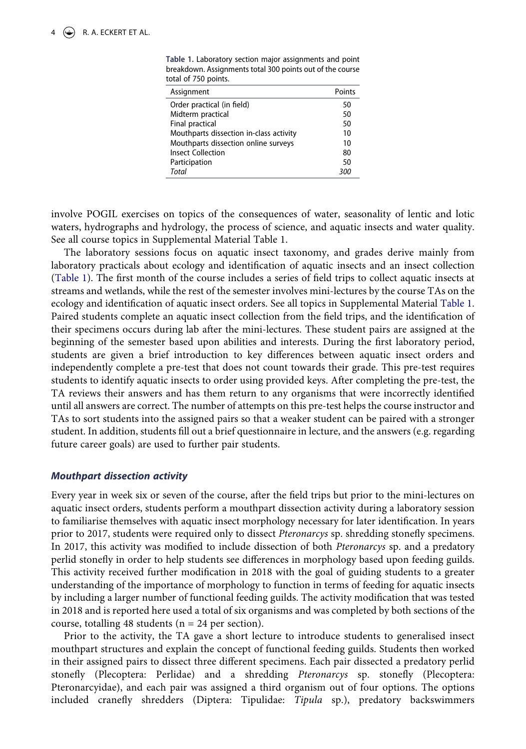| Assignment                              | Points |
|-----------------------------------------|--------|
| Order practical (in field)              | 50     |
| Midterm practical                       | 50     |
| Final practical                         | 50     |
| Mouthparts dissection in-class activity | 10     |
| Mouthparts dissection online surveys    | 10     |
| <b>Insect Collection</b>                | 80     |
| Participation                           | 50     |
| Total                                   | 300    |

<span id="page-4-0"></span>**Table 1.** Laboratory section major assignments and point breakdown. Assignments total 300 points out of the course total of 750 points.

involve POGIL exercises on topics of the consequences of water, seasonality of lentic and lotic waters, hydrographs and hydrology, the process of science, and aquatic insects and water quality. See all course topics in Supplemental Material Table 1.

The laboratory sessions focus on aquatic insect taxonomy, and grades derive mainly from laboratory practicals about ecology and identification of aquatic insects and an insect collection [\(Table 1\)](#page-4-0). The first month of the course includes a series of field trips to collect aquatic insects at streams and wetlands, while the rest of the semester involves mini-lectures by the course TAs on the ecology and identification of aquatic insect orders. See all topics in Supplemental Material [Table 1.](#page-4-0) Paired students complete an aquatic insect collection from the field trips, and the identification of their specimens occurs during lab after the mini-lectures. These student pairs are assigned at the beginning of the semester based upon abilities and interests. During the first laboratory period, students are given a brief introduction to key differences between aquatic insect orders and independently complete a pre-test that does not count towards their grade. This pre-test requires students to identify aquatic insects to order using provided keys. After completing the pre-test, the TA reviews their answers and has them return to any organisms that were incorrectly identified until all answers are correct. The number of attempts on this pre-test helps the course instructor and TAs to sort students into the assigned pairs so that a weaker student can be paired with a stronger student. In addition, students fill out a brief questionnaire in lecture, and the answers (e.g. regarding future career goals) are used to further pair students.

## *Mouthpart dissection activity*

Every year in week six or seven of the course, after the field trips but prior to the mini-lectures on aquatic insect orders, students perform a mouthpart dissection activity during a laboratory session to familiarise themselves with aquatic insect morphology necessary for later identification. In years prior to 2017, students were required only to dissect *Pteronarcys* sp. shredding stonefly specimens. In 2017, this activity was modified to include dissection of both *Pteronarcys* sp. and a predatory perlid stonefly in order to help students see differences in morphology based upon feeding guilds. This activity received further modification in 2018 with the goal of guiding students to a greater understanding of the importance of morphology to function in terms of feeding for aquatic insects by including a larger number of functional feeding guilds. The activity modification that was tested in 2018 and is reported here used a total of six organisms and was completed by both sections of the course, totalling 48 students ( $n = 24$  per section).

Prior to the activity, the TA gave a short lecture to introduce students to generalised insect mouthpart structures and explain the concept of functional feeding guilds. Students then worked in their assigned pairs to dissect three different specimens. Each pair dissected a predatory perlid stonefly (Plecoptera: Perlidae) and a shredding *Pteronarcys* sp. stonefly (Plecoptera: Pteronarcyidae), and each pair was assigned a third organism out of four options. The options included cranefly shredders (Diptera: Tipulidae: *Tipula* sp.), predatory backswimmers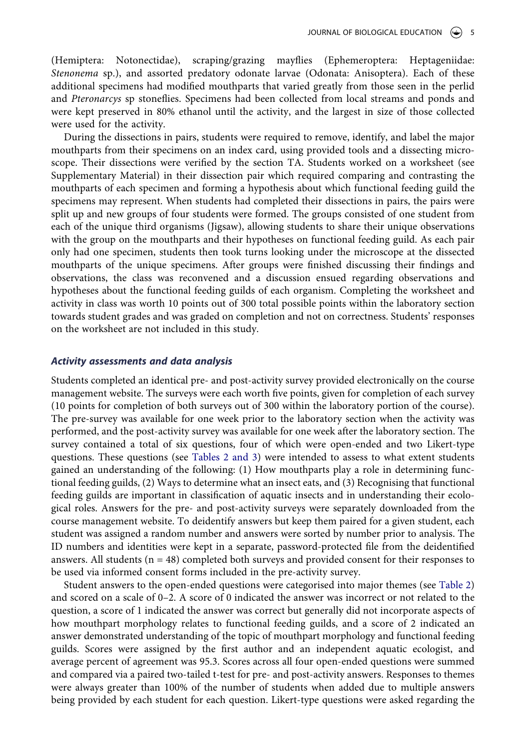(Hemiptera: Notonectidae), scraping/grazing mayflies (Ephemeroptera: Heptageniidae: *Stenonema* sp.), and assorted predatory odonate larvae (Odonata: Anisoptera). Each of these additional specimens had modified mouthparts that varied greatly from those seen in the perlid and *Pteronarcys* sp stoneflies. Specimens had been collected from local streams and ponds and were kept preserved in 80% ethanol until the activity, and the largest in size of those collected were used for the activity.

During the dissections in pairs, students were required to remove, identify, and label the major mouthparts from their specimens on an index card, using provided tools and a dissecting microscope. Their dissections were verified by the section TA. Students worked on a worksheet (see Supplementary Material) in their dissection pair which required comparing and contrasting the mouthparts of each specimen and forming a hypothesis about which functional feeding guild the specimens may represent. When students had completed their dissections in pairs, the pairs were split up and new groups of four students were formed. The groups consisted of one student from each of the unique third organisms (Jigsaw), allowing students to share their unique observations with the group on the mouthparts and their hypotheses on functional feeding guild. As each pair only had one specimen, students then took turns looking under the microscope at the dissected mouthparts of the unique specimens. After groups were finished discussing their findings and observations, the class was reconvened and a discussion ensued regarding observations and hypotheses about the functional feeding guilds of each organism. Completing the worksheet and activity in class was worth 10 points out of 300 total possible points within the laboratory section towards student grades and was graded on completion and not on correctness. Students' responses on the worksheet are not included in this study.

## *Activity assessments and data analysis*

Students completed an identical pre- and post-activity survey provided electronically on the course management website. The surveys were each worth five points, given for completion of each survey (10 points for completion of both surveys out of 300 within the laboratory portion of the course). The pre-survey was available for one week prior to the laboratory section when the activity was performed, and the post-activity survey was available for one week after the laboratory section. The survey contained a total of six questions, four of which were open-ended and two Likert-type questions. These questions (see [Tables 2 and 3](#page-6-0)) were intended to assess to what extent students gained an understanding of the following: (1) How mouthparts play a role in determining functional feeding guilds, (2) Ways to determine what an insect eats, and (3) Recognising that functional feeding guilds are important in classification of aquatic insects and in understanding their ecological roles. Answers for the pre- and post-activity surveys were separately downloaded from the course management website. To deidentify answers but keep them paired for a given student, each student was assigned a random number and answers were sorted by number prior to analysis. The ID numbers and identities were kept in a separate, password-protected file from the deidentified answers. All students  $(n = 48)$  completed both surveys and provided consent for their responses to be used via informed consent forms included in the pre-activity survey.

Student answers to the open-ended questions were categorised into major themes (see [Table 2\)](#page-6-0) and scored on a scale of 0–2. A score of 0 indicated the answer was incorrect or not related to the question, a score of 1 indicated the answer was correct but generally did not incorporate aspects of how mouthpart morphology relates to functional feeding guilds, and a score of 2 indicated an answer demonstrated understanding of the topic of mouthpart morphology and functional feeding guilds. Scores were assigned by the first author and an independent aquatic ecologist, and average percent of agreement was 95.3. Scores across all four open-ended questions were summed and compared via a paired two-tailed t-test for pre- and post-activity answers. Responses to themes were always greater than 100% of the number of students when added due to multiple answers being provided by each student for each question. Likert-type questions were asked regarding the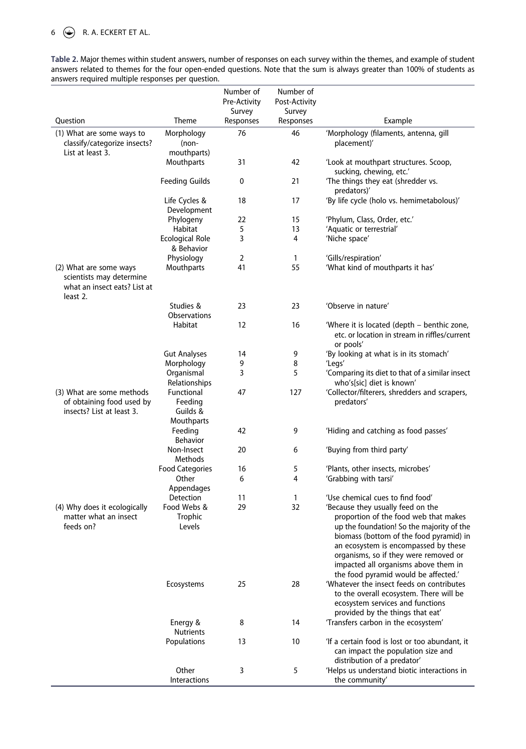# 6  $\bigodot$  R. A. ECKERT ET AL.

<span id="page-6-0"></span>**Table 2.** Major themes within student answers, number of responses on each survey within the themes, and example of student answers related to themes for the four open-ended questions. Note that the sum is always greater than 100% of students as answers required multiple responses per question.

|                                                                                                |                                                 | Number of<br>Pre-Activity<br>Survey | Number of<br>Post-Activity<br>Survey |                                                                                                                                                                                                                                                                                                                                     |
|------------------------------------------------------------------------------------------------|-------------------------------------------------|-------------------------------------|--------------------------------------|-------------------------------------------------------------------------------------------------------------------------------------------------------------------------------------------------------------------------------------------------------------------------------------------------------------------------------------|
| Question                                                                                       | Theme                                           | Responses                           | Responses                            | Example                                                                                                                                                                                                                                                                                                                             |
| (1) What are some ways to<br>classify/categorize insects?<br>List at least 3.                  | Morphology<br>$(non-$<br>mouthparts)            | 76                                  | 46                                   | 'Morphology (filaments, antenna, gill<br>placement)'                                                                                                                                                                                                                                                                                |
|                                                                                                | Mouthparts                                      | 31                                  | 42                                   | 'Look at mouthpart structures. Scoop,<br>sucking, chewing, etc.'                                                                                                                                                                                                                                                                    |
|                                                                                                | <b>Feeding Guilds</b>                           | 0                                   | 21                                   | 'The things they eat (shredder vs.<br>predators)'                                                                                                                                                                                                                                                                                   |
|                                                                                                | Life Cycles &<br>Development                    | 18                                  | 17                                   | 'By life cycle (holo vs. hemimetabolous)'                                                                                                                                                                                                                                                                                           |
|                                                                                                | Phylogeny                                       | 22                                  | 15                                   | 'Phylum, Class, Order, etc.'                                                                                                                                                                                                                                                                                                        |
|                                                                                                | Habitat                                         | 5                                   | 13                                   | 'Aquatic or terrestrial'                                                                                                                                                                                                                                                                                                            |
|                                                                                                | Ecological Role<br>& Behavior                   | 3                                   | 4                                    | 'Niche space'                                                                                                                                                                                                                                                                                                                       |
|                                                                                                | Physiology                                      | $\overline{2}$                      | 1                                    | 'Gills/respiration'                                                                                                                                                                                                                                                                                                                 |
| (2) What are some ways<br>scientists may determine<br>what an insect eats? List at<br>least 2. | Mouthparts                                      | 41                                  | 55                                   | 'What kind of mouthparts it has'                                                                                                                                                                                                                                                                                                    |
|                                                                                                | Studies &<br><b>Observations</b>                | 23                                  | 23                                   | 'Observe in nature'                                                                                                                                                                                                                                                                                                                 |
|                                                                                                | Habitat                                         | 12                                  | 16                                   | 'Where it is located (depth – benthic zone,<br>etc. or location in stream in riffles/current<br>or pools'                                                                                                                                                                                                                           |
|                                                                                                | <b>Gut Analyses</b>                             | 14                                  | 9                                    | 'By looking at what is in its stomach'                                                                                                                                                                                                                                                                                              |
|                                                                                                | Morphology                                      | 9                                   | 8                                    | 'Legs'                                                                                                                                                                                                                                                                                                                              |
|                                                                                                | Organismal<br>Relationships                     | 3                                   | 5                                    | 'Comparing its diet to that of a similar insect<br>who's[sic] diet is known'                                                                                                                                                                                                                                                        |
| (3) What are some methods<br>of obtaining food used by<br>insects? List at least 3.            | Functional<br>Feeding<br>Guilds &<br>Mouthparts | 47                                  | 127                                  | 'Collector/filterers, shredders and scrapers,<br>predators'                                                                                                                                                                                                                                                                         |
|                                                                                                | Feeding<br><b>Behavior</b>                      | 42                                  | 9                                    | 'Hiding and catching as food passes'                                                                                                                                                                                                                                                                                                |
|                                                                                                | Non-Insect<br>Methods                           | 20                                  | 6                                    | 'Buying from third party'                                                                                                                                                                                                                                                                                                           |
|                                                                                                | <b>Food Categories</b>                          | 16                                  | 5                                    | 'Plants, other insects, microbes'                                                                                                                                                                                                                                                                                                   |
|                                                                                                | Other<br>Appendages                             | 6                                   | 4                                    | 'Grabbing with tarsi'                                                                                                                                                                                                                                                                                                               |
|                                                                                                | Detection                                       | 11                                  | 1                                    | 'Use chemical cues to find food'                                                                                                                                                                                                                                                                                                    |
| (4) Why does it ecologically<br>matter what an insect<br>feeds on?                             | Food Webs &<br>Trophic<br>Levels                | 29                                  | 32                                   | 'Because they usually feed on the<br>proportion of the food web that makes<br>up the foundation! So the majority of the<br>biomass (bottom of the food pyramid) in<br>an ecosystem is encompassed by these<br>organisms, so if they were removed or<br>impacted all organisms above them in<br>the food pyramid would be affected.' |
|                                                                                                | Ecosystems                                      | 25                                  | 28                                   | 'Whatever the insect feeds on contributes<br>to the overall ecosystem. There will be<br>ecosystem services and functions<br>provided by the things that eat'                                                                                                                                                                        |
|                                                                                                | Energy &<br><b>Nutrients</b>                    | 8                                   | 14                                   | 'Transfers carbon in the ecosystem'                                                                                                                                                                                                                                                                                                 |
|                                                                                                | Populations                                     | 13                                  | 10                                   | 'If a certain food is lost or too abundant, it<br>can impact the population size and<br>distribution of a predator'                                                                                                                                                                                                                 |
|                                                                                                | Other<br>Interactions                           | 3                                   | 5                                    | 'Helps us understand biotic interactions in<br>the community'                                                                                                                                                                                                                                                                       |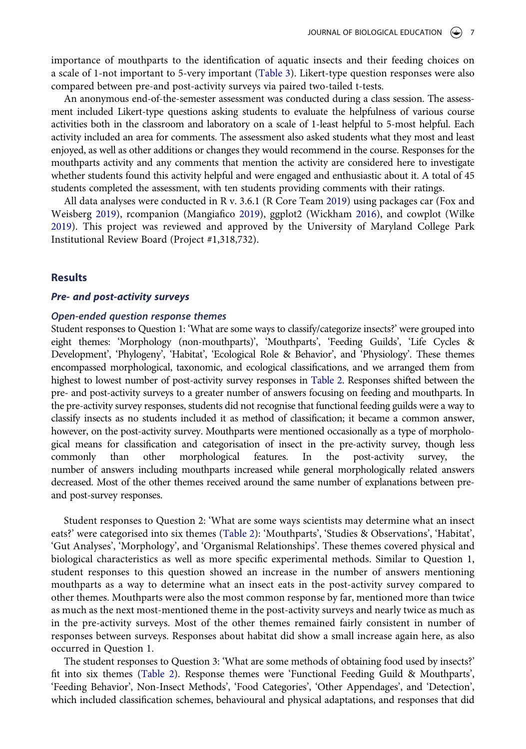importance of mouthparts to the identification of aquatic insects and their feeding choices on a scale of 1-not important to 5-very important ([Table 3\)](#page-8-0). Likert-type question responses were also compared between pre-and post-activity surveys via paired two-tailed t-tests.

An anonymous end-of-the-semester assessment was conducted during a class session. The assessment included Likert-type questions asking students to evaluate the helpfulness of various course activities both in the classroom and laboratory on a scale of 1-least helpful to 5-most helpful. Each activity included an area for comments. The assessment also asked students what they most and least enjoyed, as well as other additions or changes they would recommend in the course. Responses for the mouthparts activity and any comments that mention the activity are considered here to investigate whether students found this activity helpful and were engaged and enthusiastic about it. A total of 45 students completed the assessment, with ten students providing comments with their ratings.

<span id="page-7-1"></span><span id="page-7-0"></span>All data analyses were conducted in R v. 3.6.1 (R Core Team [2019](#page-12-18)) using packages car (Fox and Weisberg [2019](#page-12-19)), rcompanion (Mangiafico [2019\)](#page-12-20), ggplot2 (Wickham [2016](#page-13-7)), and cowplot (Wilke [2019](#page-13-8)). This project was reviewed and approved by the University of Maryland College Park Institutional Review Board (Project #1,318,732).

#### **Results**

#### *Pre- and post-activity surveys*

## *Open-ended question response themes*

Student responses to Question 1: 'What are some ways to classify/categorize insects?' were grouped into eight themes: 'Morphology (non-mouthparts)', 'Mouthparts', 'Feeding Guilds', 'Life Cycles & Development', 'Phylogeny', 'Habitat', 'Ecological Role & Behavior', and 'Physiology'. These themes encompassed morphological, taxonomic, and ecological classifications, and we arranged them from highest to lowest number of post-activity survey responses in [Table 2.](#page-6-0) Responses shifted between the pre- and post-activity surveys to a greater number of answers focusing on feeding and mouthparts. In the pre-activity survey responses, students did not recognise that functional feeding guilds were a way to classify insects as no students included it as method of classification; it became a common answer, however, on the post-activity survey. Mouthparts were mentioned occasionally as a type of morphological means for classification and categorisation of insect in the pre-activity survey, though less commonly than other morphological features. In the post-activity survey, the number of answers including mouthparts increased while general morphologically related answers decreased. Most of the other themes received around the same number of explanations between preand post-survey responses.

Student responses to Question 2: 'What are some ways scientists may determine what an insect eats?' were categorised into six themes [\(Table 2\)](#page-6-0): 'Mouthparts', 'Studies & Observations', 'Habitat', 'Gut Analyses', 'Morphology', and 'Organismal Relationships'. These themes covered physical and biological characteristics as well as more specific experimental methods. Similar to Question 1, student responses to this question showed an increase in the number of answers mentioning mouthparts as a way to determine what an insect eats in the post-activity survey compared to other themes. Mouthparts were also the most common response by far, mentioned more than twice as much as the next most-mentioned theme in the post-activity surveys and nearly twice as much as in the pre-activity surveys. Most of the other themes remained fairly consistent in number of responses between surveys. Responses about habitat did show a small increase again here, as also occurred in Question 1.

The student responses to Question 3: 'What are some methods of obtaining food used by insects?' fit into six themes [\(Table 2](#page-6-0)). Response themes were 'Functional Feeding Guild & Mouthparts', 'Feeding Behavior', Non-Insect Methods', 'Food Categories', 'Other Appendages', and 'Detection', which included classification schemes, behavioural and physical adaptations, and responses that did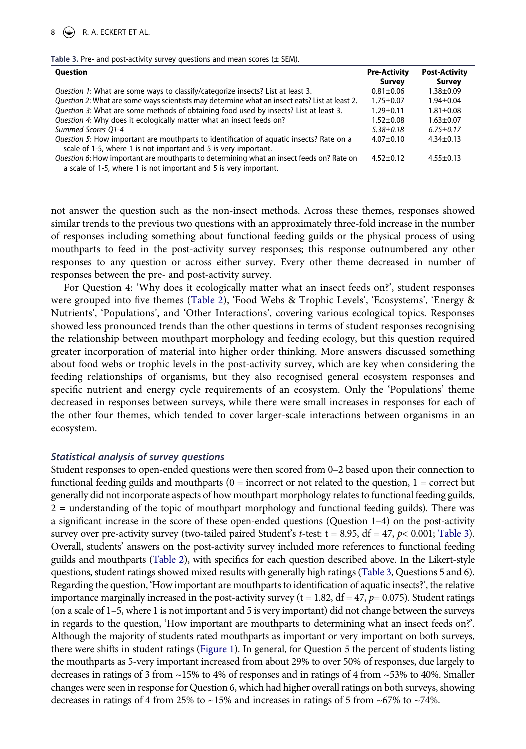| <b>Question</b>                                                                               | <b>Pre-Activity</b> | <b>Post-Activity</b> |
|-----------------------------------------------------------------------------------------------|---------------------|----------------------|
|                                                                                               | Survey              | Survey               |
| Question 1: What are some ways to classify/categorize insects? List at least 3.               | $0.81 + 0.06$       | $1.38 + 0.09$        |
| Question 2: What are some ways scientists may determine what an insect eats? List at least 2. | $1.75 + 0.07$       | $1.94 \pm 0.04$      |
| Question 3: What are some methods of obtaining food used by insects? List at least 3.         | $1.29 + 0.11$       | $1.81 \pm 0.08$      |
| Question 4: Why does it ecologically matter what an insect feeds on?                          | $1.52 + 0.08$       | $1.63 + 0.07$        |
| Summed Scores O1-4                                                                            | $5.38 + 0.18$       | $6.75 + 0.17$        |
| Question 5: How important are mouthparts to identification of aquatic insects? Rate on a      | $4.07 + 0.10$       | $4.34 \pm 0.13$      |
| scale of 1-5, where 1 is not important and 5 is very important.                               |                     |                      |
| Question 6: How important are mouthparts to determining what an insect feeds on? Rate on      | $4.52 + 0.12$       | $4.55 + 0.13$        |
| a scale of 1-5, where 1 is not important and 5 is very important.                             |                     |                      |

<span id="page-8-0"></span>**Table 3.** Pre- and post-activity survey questions and mean scores (± SEM).

not answer the question such as the non-insect methods. Across these themes, responses showed similar trends to the previous two questions with an approximately three-fold increase in the number of responses including something about functional feeding guilds or the physical process of using mouthparts to feed in the post-activity survey responses; this response outnumbered any other responses to any question or across either survey. Every other theme decreased in number of responses between the pre- and post-activity survey.

For Question 4: 'Why does it ecologically matter what an insect feeds on?', student responses were grouped into five themes [\(Table 2](#page-6-0)), 'Food Webs & Trophic Levels', 'Ecosystems', 'Energy & Nutrients', 'Populations', and 'Other Interactions', covering various ecological topics. Responses showed less pronounced trends than the other questions in terms of student responses recognising the relationship between mouthpart morphology and feeding ecology, but this question required greater incorporation of material into higher order thinking. More answers discussed something about food webs or trophic levels in the post-activity survey, which are key when considering the feeding relationships of organisms, but they also recognised general ecosystem responses and specific nutrient and energy cycle requirements of an ecosystem. Only the 'Populations' theme decreased in responses between surveys, while there were small increases in responses for each of the other four themes, which tended to cover larger-scale interactions between organisms in an ecosystem.

#### *Statistical analysis of survey questions*

Student responses to open-ended questions were then scored from 0–2 based upon their connection to functional feeding guilds and mouthparts  $(0 = incorrect \ or \ not \ related \ to \ the \ question, 1 = correct \ but \$ generally did not incorporate aspects of how mouthpart morphology relates to functional feeding guilds, 2 = understanding of the topic of mouthpart morphology and functional feeding guilds). There was a significant increase in the score of these open-ended questions (Question 1–4) on the post-activity survey over pre-activity survey (two-tailed paired Student's *t*-test: t = 8.95, df = 47, *p*< 0.001; [Table 3\)](#page-8-0). Overall, students' answers on the post-activity survey included more references to functional feeding guilds and mouthparts [\(Table 2\)](#page-6-0), with specifics for each question described above. In the Likert-style questions, student ratings showed mixed results with generally high ratings [\(Table 3,](#page-8-0) Questions 5 and 6). Regarding the question, 'How important are mouthparts to identification of aquatic insects?', the relative importance marginally increased in the post-activity survey ( $t = 1.82$ ,  $df = 47$ ,  $p = 0.075$ ). Student ratings (on a scale of 1–5, where 1 is not important and 5 is very important) did not change between the surveys in regards to the question, 'How important are mouthparts to determining what an insect feeds on?'. Although the majority of students rated mouthparts as important or very important on both surveys, there were shifts in student ratings ([Figure 1\)](#page-9-0). In general, for Question 5 the percent of students listing the mouthparts as 5-very important increased from about 29% to over 50% of responses, due largely to decreases in ratings of 3 from ~15% to 4% of responses and in ratings of 4 from ~53% to 40%. Smaller changes were seen in response for Question 6, which had higher overall ratings on both surveys, showing decreases in ratings of 4 from 25% to  $\sim$ 15% and increases in ratings of 5 from  $\sim$ 67% to  $\sim$ 74%.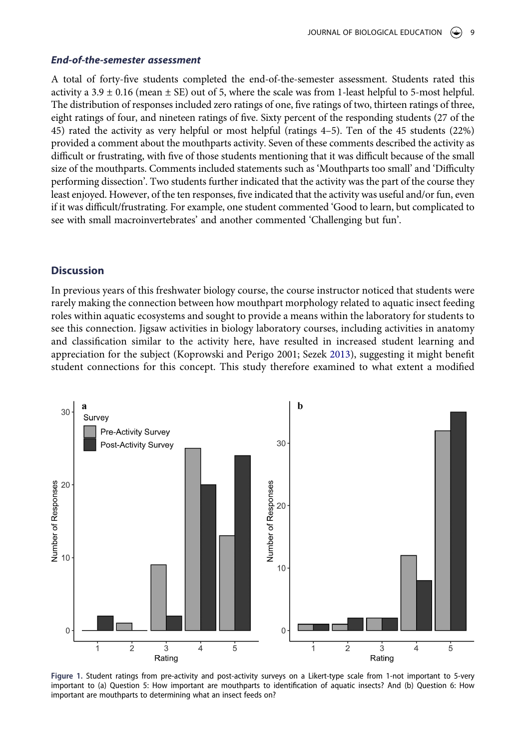## *End-of-the-semester assessment*

A total of forty-five students completed the end-of-the-semester assessment. Students rated this activity a  $3.9 \pm 0.16$  (mean  $\pm$  SE) out of 5, where the scale was from 1-least helpful to 5-most helpful. The distribution of responses included zero ratings of one, five ratings of two, thirteen ratings of three, eight ratings of four, and nineteen ratings of five. Sixty percent of the responding students (27 of the 45) rated the activity as very helpful or most helpful (ratings 4–5). Ten of the 45 students (22%) provided a comment about the mouthparts activity. Seven of these comments described the activity as difficult or frustrating, with five of those students mentioning that it was difficult because of the small size of the mouthparts. Comments included statements such as 'Mouthparts too small' and 'Difficulty performing dissection'. Two students further indicated that the activity was the part of the course they least enjoyed. However, of the ten responses, five indicated that the activity was useful and/or fun, even if it was difficult/frustrating. For example, one student commented 'Good to learn, but complicated to see with small macroinvertebrates' and another commented 'Challenging but fun'.

# **Discussion**

In previous years of this freshwater biology course, the course instructor noticed that students were rarely making the connection between how mouthpart morphology related to aquatic insect feeding roles within aquatic ecosystems and sought to provide a means within the laboratory for students to see this connection. Jigsaw activities in biology laboratory courses, including activities in anatomy and classification similar to the activity here, have resulted in increased student learning and appreciation for the subject (Koprowski and Perigo 2001; Sezek [2013\)](#page-13-6), suggesting it might benefit student connections for this concept. This study therefore examined to what extent a modified

<span id="page-9-0"></span>

**Figure 1.** Student ratings from pre-activity and post-activity surveys on a Likert-type scale from 1-not important to 5-very important to (a) Question 5: How important are mouthparts to identification of aquatic insects? And (b) Question 6: How important are mouthparts to determining what an insect feeds on?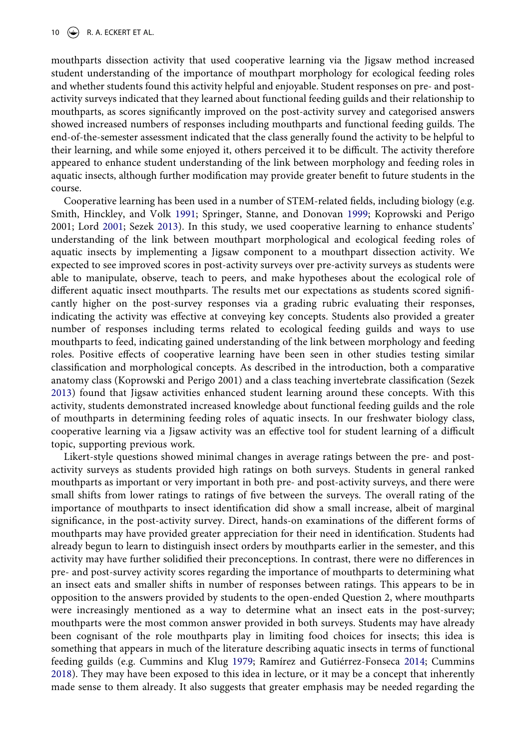mouthparts dissection activity that used cooperative learning via the Jigsaw method increased student understanding of the importance of mouthpart morphology for ecological feeding roles and whether students found this activity helpful and enjoyable. Student responses on pre- and postactivity surveys indicated that they learned about functional feeding guilds and their relationship to mouthparts, as scores significantly improved on the post-activity survey and categorised answers showed increased numbers of responses including mouthparts and functional feeding guilds. The end-of-the-semester assessment indicated that the class generally found the activity to be helpful to their learning, and while some enjoyed it, others perceived it to be difficult. The activity therefore appeared to enhance student understanding of the link between morphology and feeding roles in aquatic insects, although further modification may provide greater benefit to future students in the course.

Cooperative learning has been used in a number of STEM-related fields, including biology (e.g. Smith, Hinckley, and Volk [1991;](#page-13-3) Springer, Stanne, and Donovan [1999](#page-13-4); Koprowski and Perigo 2001; Lord [2001;](#page-12-9) Sezek [2013](#page-13-6)). In this study, we used cooperative learning to enhance students' understanding of the link between mouthpart morphological and ecological feeding roles of aquatic insects by implementing a Jigsaw component to a mouthpart dissection activity. We expected to see improved scores in post-activity surveys over pre-activity surveys as students were able to manipulate, observe, teach to peers, and make hypotheses about the ecological role of different aquatic insect mouthparts. The results met our expectations as students scored significantly higher on the post-survey responses via a grading rubric evaluating their responses, indicating the activity was effective at conveying key concepts. Students also provided a greater number of responses including terms related to ecological feeding guilds and ways to use mouthparts to feed, indicating gained understanding of the link between morphology and feeding roles. Positive effects of cooperative learning have been seen in other studies testing similar classification and morphological concepts. As described in the introduction, both a comparative anatomy class (Koprowski and Perigo 2001) and a class teaching invertebrate classification (Sezek [2013](#page-13-6)) found that Jigsaw activities enhanced student learning around these concepts. With this activity, students demonstrated increased knowledge about functional feeding guilds and the role of mouthparts in determining feeding roles of aquatic insects. In our freshwater biology class, cooperative learning via a Jigsaw activity was an effective tool for student learning of a difficult topic, supporting previous work.

Likert-style questions showed minimal changes in average ratings between the pre- and postactivity surveys as students provided high ratings on both surveys. Students in general ranked mouthparts as important or very important in both pre- and post-activity surveys, and there were small shifts from lower ratings to ratings of five between the surveys. The overall rating of the importance of mouthparts to insect identification did show a small increase, albeit of marginal significance, in the post-activity survey. Direct, hands-on examinations of the different forms of mouthparts may have provided greater appreciation for their need in identification. Students had already begun to learn to distinguish insect orders by mouthparts earlier in the semester, and this activity may have further solidified their preconceptions. In contrast, there were no differences in pre- and post-survey activity scores regarding the importance of mouthparts to determining what an insect eats and smaller shifts in number of responses between ratings. This appears to be in opposition to the answers provided by students to the open-ended Question 2, where mouthparts were increasingly mentioned as a way to determine what an insect eats in the post-survey; mouthparts were the most common answer provided in both surveys. Students may have already been cognisant of the role mouthparts play in limiting food choices for insects; this idea is something that appears in much of the literature describing aquatic insects in terms of functional feeding guilds (e.g. Cummins and Klug [1979](#page-12-1); Ramírez and Gutiérrez-Fonseca [2014;](#page-13-2) Cummins [2018](#page-12-3)). They may have been exposed to this idea in lecture, or it may be a concept that inherently made sense to them already. It also suggests that greater emphasis may be needed regarding the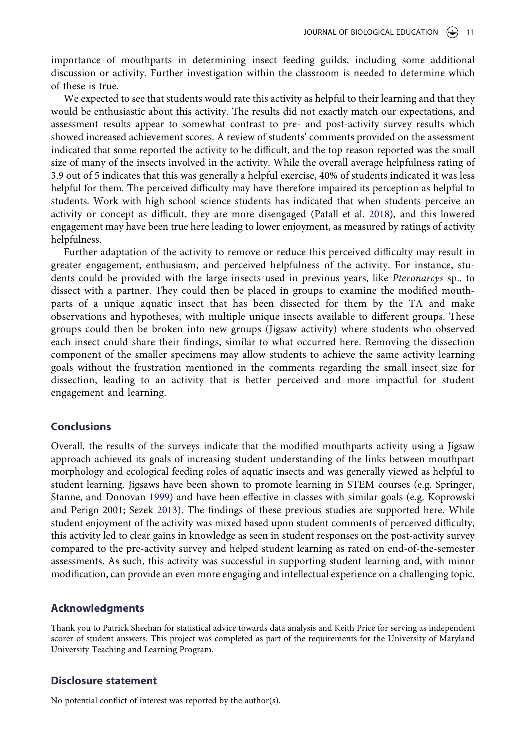importance of mouthparts in determining insect feeding guilds, including some additional discussion or activity. Further investigation within the classroom is needed to determine which of these is true.

We expected to see that students would rate this activity as helpful to their learning and that they would be enthusiastic about this activity. The results did not exactly match our expectations, and assessment results appear to somewhat contrast to pre- and post-activity survey results which showed increased achievement scores. A review of students' comments provided on the assessment indicated that some reported the activity to be difficult, and the top reason reported was the small size of many of the insects involved in the activity. While the overall average helpfulness rating of 3.9 out of 5 indicates that this was generally a helpful exercise, 40% of students indicated it was less helpful for them. The perceived difficulty may have therefore impaired its perception as helpful to students. Work with high school science students has indicated that when students perceive an activity or concept as difficult, they are more disengaged (Patall et al. [2018](#page-12-21)), and this lowered engagement may have been true here leading to lower enjoyment, as measured by ratings of activity helpfulness.

<span id="page-11-0"></span>Further adaptation of the activity to remove or reduce this perceived difficulty may result in greater engagement, enthusiasm, and perceived helpfulness of the activity. For instance, students could be provided with the large insects used in previous years, like *Pteronarcys* sp., to dissect with a partner. They could then be placed in groups to examine the modified mouthparts of a unique aquatic insect that has been dissected for them by the TA and make observations and hypotheses, with multiple unique insects available to different groups. These groups could then be broken into new groups (Jigsaw activity) where students who observed each insect could share their findings, similar to what occurred here. Removing the dissection component of the smaller specimens may allow students to achieve the same activity learning goals without the frustration mentioned in the comments regarding the small insect size for dissection, leading to an activity that is better perceived and more impactful for student engagement and learning.

#### **Conclusions**

Overall, the results of the surveys indicate that the modified mouthparts activity using a Jigsaw approach achieved its goals of increasing student understanding of the links between mouthpart morphology and ecological feeding roles of aquatic insects and was generally viewed as helpful to student learning. Jigsaws have been shown to promote learning in STEM courses (e.g. Springer, Stanne, and Donovan [1999](#page-13-4)) and have been effective in classes with similar goals (e.g. Koprowski and Perigo 2001; Sezek [2013\)](#page-13-6). The findings of these previous studies are supported here. While student enjoyment of the activity was mixed based upon student comments of perceived difficulty, this activity led to clear gains in knowledge as seen in student responses on the post-activity survey compared to the pre-activity survey and helped student learning as rated on end-of-the-semester assessments. As such, this activity was successful in supporting student learning and, with minor modification, can provide an even more engaging and intellectual experience on a challenging topic.

#### **Acknowledgments**

Thank you to Patrick Sheehan for statistical advice towards data analysis and Keith Price for serving as independent scorer of student answers. This project was completed as part of the requirements for the University of Maryland University Teaching and Learning Program.

#### **Disclosure statement**

No potential conflict of interest was reported by the author(s).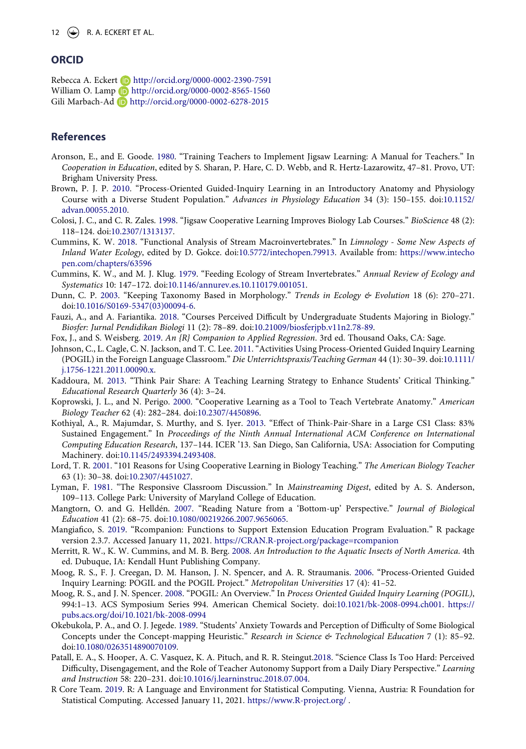### **ORCID**

Rebecca A. Eckert **b** http://orcid.org/0000-0002-2390-7591 William O. Lamp **b** http://orcid.org/0000-0002-8565-1560 Gili Marbach-Ad **b** http://orcid.org/0000-0002-6278-2015

#### **References**

- <span id="page-12-17"></span>Aronson, E., and E. Goode. [1980.](#page-2-0) "Training Teachers to Implement Jigsaw Learning: A Manual for Teachers." In *Cooperation in Education*, edited by S. Sharan, P. Hare, C. D. Webb, and R. Hertz-Lazarowitz, 47–81. Provo, UT: Brigham University Press.
- <span id="page-12-15"></span>Brown, P. J. P. [2010.](#page-2-1) "Process-Oriented Guided-Inquiry Learning in an Introductory Anatomy and Physiology Course with a Diverse Student Population." *Advances in Physiology Education* 34 (3): 150–155. doi:[10.1152/](https://doi.org/10.1152/advan.00055.2010) [advan.00055.2010](https://doi.org/10.1152/advan.00055.2010).
- <span id="page-12-8"></span>Colosi, J. C., and C. R. Zales. [1998.](#page-2-2) "Jigsaw Cooperative Learning Improves Biology Lab Courses." *BioScience* 48 (2): 118–124. doi:[10.2307/1313137](https://doi.org/10.2307/1313137).
- <span id="page-12-3"></span>Cummins, K. W. [2018.](#page-2-3) "Functional Analysis of Stream Macroinvertebrates." In *Limnology - Some New Aspects of Inland Water Ecology*, edited by D. Gokce. doi:[10.5772/intechopen.79913.](https://doi.org/10.5772/intechopen.79913) Available from: [https://www.intecho](https://www.intechopen.com/chapters/63596) [pen.com/chapters/63596](https://www.intechopen.com/chapters/63596)
- <span id="page-12-1"></span>Cummins, K. W., and M. J. Klug. [1979](#page-2-4). "Feeding Ecology of Stream Invertebrates." *Annual Review of Ecology and Systematics* 10: 147–172. doi:[10.1146/annurev.es.10.110179.001051.](https://doi.org/10.1146/annurev.es.10.110179.001051)
- <span id="page-12-0"></span>Dunn, C. P. [2003.](#page-1-1) "Keeping Taxonomy Based in Morphology." *Trends in Ecology & Evolution* 18 (6): 270–271. doi:[10.1016/S0169-5347\(03\)00094-6.](https://doi.org/10.1016/S0169-5347(03)00094-6)
- <span id="page-12-5"></span>Fauzi, A., and A. Fariantika. [2018](#page-2-5). "Courses Perceived Difficult by Undergraduate Students Majoring in Biology." *Biosfer: Jurnal Pendidikan Biologi* 11 (2): 78–89. doi:[10.21009/biosferjpb.v11n2.78-89.](https://doi.org/10.21009/biosferjpb.v11n2.78-89)
- <span id="page-12-19"></span>Fox, J., and S. Weisberg. [2019.](#page-7-0) *An {R} Companion to Applied Regression*. 3rd ed. Thousand Oaks, CA: Sage.
- <span id="page-12-16"></span>Johnson, C., L. Cagle, C. N. Jackson, and T. C. Lee. [2011](#page-2-1). "Activities Using Process-Oriented Guided Inquiry Learning (POGIL) in the Foreign Language Classroom." *Die Unterrichtspraxis/Teaching German* 44 (1): 30–39. doi:[10.1111/](https://doi.org/10.1111/j.1756-1221.2011.00090.x) [j.1756-1221.2011.00090.x](https://doi.org/10.1111/j.1756-1221.2011.00090.x).
- <span id="page-12-11"></span>Kaddoura, M. [2013.](#page-2-6) "Think Pair Share: A Teaching Learning Strategy to Enhance Students' Critical Thinking." *Educational Research Quarterly* 36 (4): 3–24.
- <span id="page-12-6"></span>Koprowski, J. L., and N. Perigo. [2000.](#page-2-7) "Cooperative Learning as a Tool to Teach Vertebrate Anatomy." *American Biology Teacher* 62 (4): 282–284. doi:[10.2307/4450896](https://doi.org/10.2307/4450896).
- <span id="page-12-12"></span>Kothiyal, A., R. Majumdar, S. Murthy, and S. Iyer. [2013.](#page-2-6) "Effect of Think-Pair-Share in a Large CS1 Class: 83% Sustained Engagement." In *Proceedings of the Ninth Annual International ACM Conference on International Computing Education Research*, 137–144. ICER '13. San Diego, San California, USA: Association for Computing Machinery. doi:[10.1145/2493394.2493408.](https://doi.org/10.1145/2493394.2493408)
- <span id="page-12-9"></span>Lord, T. R. [2001](#page-2-8). "101 Reasons for Using Cooperative Learning in Biology Teaching." *The American Biology Teacher*  63 (1): 30–38. doi:[10.2307/4451027.](https://doi.org/10.2307/4451027)
- <span id="page-12-10"></span>Lyman, F. [1981.](#page-2-6) "The Responsive Classroom Discussion." In *Mainstreaming Digest*, edited by A. S. Anderson, 109–113. College Park: University of Maryland College of Education.
- <span id="page-12-7"></span>Mangtorn, O. and G. Helldén. [2007.](#page-2-9) "Reading Nature from a 'Bottom-up' Perspective." *Journal of Biological Education* 41 (2): 68–75. doi:[10.1080/00219266.2007.9656065](https://doi.org/10.1080/00219266.2007.9656065).
- <span id="page-12-20"></span>Mangiafico, S. [2019](#page-7-0). "Rcompanion: Functions to Support Extension Education Program Evaluation." R package version 2.3.7. Accessed January 11, 2021. <https://CRAN.R-project.org/package=rcompanion>
- <span id="page-12-2"></span>Merritt, R. W., K. W. Cummins, and M. B. Berg. [2008.](#page-2-10) *An Introduction to the Aquatic Insects of North America*. 4th ed. Dubuque, IA: Kendall Hunt Publishing Company.
- <span id="page-12-13"></span>Moog, R. S., F. J. Creegan, D. M. Hanson, J. N. Spencer, and A. R. Straumanis. [2006.](#page-2-11) "Process-Oriented Guided Inquiry Learning: POGIL and the POGIL Project." *Metropolitan Universities* 17 (4): 41–52.
- <span id="page-12-14"></span>Moog, R. S., and J. N. Spencer. [2008](#page-2-1). "POGIL: An Overview." In *Process Oriented Guided Inquiry Learning (POGIL)*, 994:1–13. ACS Symposium Series 994. American Chemical Society. doi:[10.1021/bk-2008-0994.ch001.](https://doi.org/10.1021/bk-2008-0994.ch001) [https://](https://pubs.acs.org/doi/10.1021/bk-2008-0994) [pubs.acs.org/doi/10.1021/bk-2008-0994](https://pubs.acs.org/doi/10.1021/bk-2008-0994)
- <span id="page-12-4"></span>Okebukola, P. A., and O. J. Jegede. [1989.](#page-2-5) "Students' Anxiety Towards and Perception of Difficulty of Some Biological Concepts under the Concept-mapping Heuristic." *Research in Science & Technological Education* 7 (1): 85–92. doi:[10.1080/0263514890070109.](https://doi.org/10.1080/0263514890070109)
- <span id="page-12-21"></span>Patall, E. A., S. Hooper, A. C. Vasquez, K. A. Pituch, and R. R. Steingut[.2018.](#page-11-0) "Science Class Is Too Hard: Perceived Difficulty, Disengagement, and the Role of Teacher Autonomy Support from a Daily Diary Perspective." *Learning and Instruction* 58: 220–231. doi:[10.1016/j.learninstruc.2018.07.004.](https://doi.org/10.1016/j.learninstruc.2018.07.004)
- <span id="page-12-18"></span>R Core Team. [2019.](#page-7-1) R: A Language and Environment for Statistical Computing. Vienna, Austria: R Foundation for Statistical Computing. Accessed January 11, 2021. <https://www.R-project.org/>.